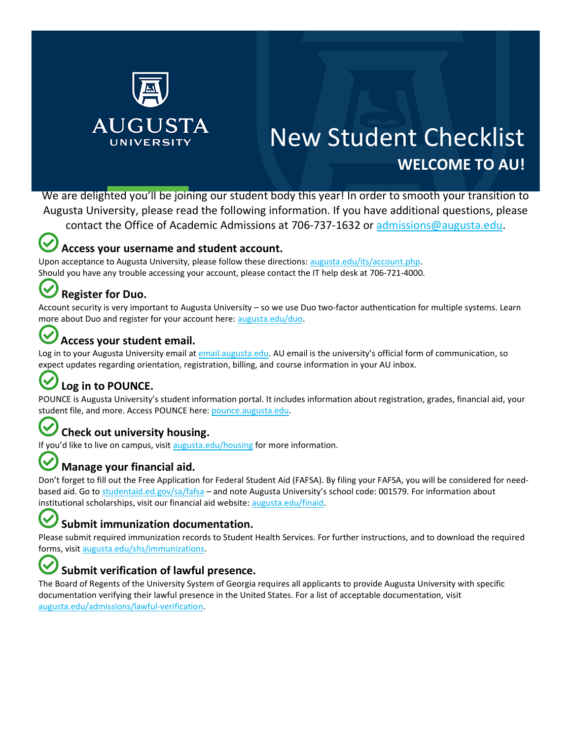

# New Student Checklist **WELCOME TO AU!**

We are delighted you'll be joining our student body this year! In order to smooth your transition to Augusta University, please read the following information. If you have additional questions, please

contact the Office of Academic Admissions at 706-737-1632 or [admissions@augusta.edu.](mailto:admissions@augusta.edu)

### **Access your username and student account.**

Upon acceptance to Augusta University, please follow these directions: [augusta.edu/its/account.php.](https://www.augusta.edu/its/account.php) Should you have any trouble accessing your account, please contact the IT help desk at 706‐721‐4000.

### **Register for Duo.**

Account security is very important to Augusta University – so we use Duo two-factor authentication for multiple systems. Learn more about Duo and register for your account here[: augusta.edu/duo.](https://www.augusta.edu/its/duo/)

### **Access your student email.**

Log in to your Augusta University email a[t email.augusta.edu](https://email.augusta.edu/). AU email is the university's official form of communication, so expect updates regarding orientation, registration, billing, and course information in your AU inbox.

# **Log in to POUNCE.**

POUNCE is Augusta University's student information portal. It includes information about registration, grades, financial aid, your student file, and more. Access POUNCE here[: pounce.augusta.edu.](https://pounce.augusta.edu/)

#### (✓ **Check out university housing.**

If you'd like to live on campus, visit [augusta.edu/housing](https://www.augusta.edu/housing) for more information.

## **Manage your financial aid.**

Don't forget to fill out the Free Application for Federal Student Aid (FAFSA). By filing your FAFSA, you will be considered for need‐ based aid. Go t[o studentaid.ed.gov/sa/fafsa](https://studentaid.ed.gov/sa/fafsa) - and note Augusta University's school code: 001579. For information about institutional scholarships, visit our financial aid website: [augusta.edu/finaid.](https://www.augusta.edu/finaid/)

### **Submit immunization documentation.**

Please submit required immunization records to Student Health Services. For further instructions, and to download the required forms, visi[t augusta.edu/shs/immunizations.](https://www.augusta.edu/shs/immunizations.php)

### **Submit verification of lawful presence.**

The Board of Regents of the University System of Georgia requires all applicants to provide Augusta University with specific documentation verifying their lawful presence in the United States. For a list of acceptable documentation, visit [augusta.edu/admissions/lawful‐verification](https://www.augusta.edu/admissions/lawful-verification.php).